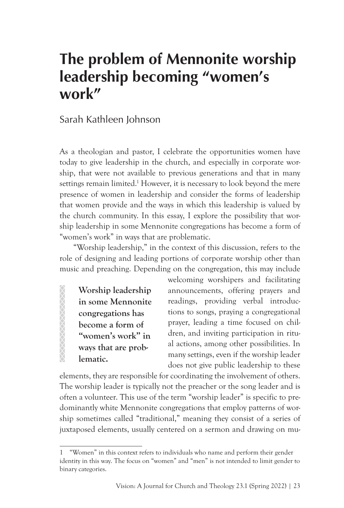# **The problem of Mennonite worship leadership becoming "women's work"**

## Sarah Kathleen Johnson

As a theologian and pastor, I celebrate the opportunities women have today to give leadership in the church, and especially in corporate worship, that were not available to previous generations and that in many settings remain limited.<sup>1</sup> However, it is necessary to look beyond the mere presence of women in leadership and consider the forms of leadership that women provide and the ways in which this leadership is valued by the church community. In this essay, I explore the possibility that worship leadership in some Mennonite congregations has become a form of "women's work" in ways that are problematic.

"Worship leadership," in the context of this discussion, refers to the role of designing and leading portions of corporate worship other than music and preaching. Depending on the congregation, this may include

**Worship leadership in some Mennonite congregations has become a form of "women's work" in ways that are problematic.**

**XXXXXXXXXXX** 

welcoming worshipers and facilitating announcements, offering prayers and readings, providing verbal introductions to songs, praying a congregational prayer, leading a time focused on children, and inviting participation in ritual actions, among other possibilities. In many settings, even if the worship leader does not give public leadership to these

elements, they are responsible for coordinating the involvement of others. The worship leader is typically not the preacher or the song leader and is often a volunteer. This use of the term "worship leader" is specific to predominantly white Mennonite congregations that employ patterns of worship sometimes called "traditional," meaning they consist of a series of juxtaposed elements, usually centered on a sermon and drawing on mu-

<sup>&</sup>quot;Women" in this context refers to individuals who name and perform their gender identity in this way. The focus on "women" and "men" is not intended to limit gender to binary categories.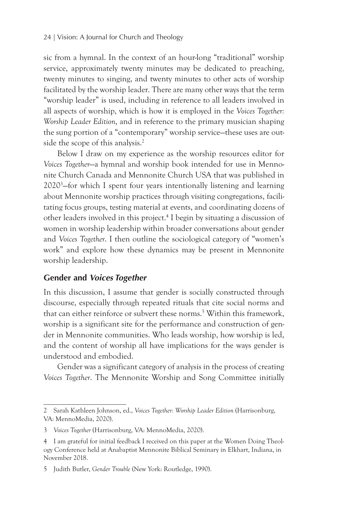#### 24 | Vision: A Journal for Church and Theology

sic from a hymnal. In the context of an hour-long "traditional" worship service, approximately twenty minutes may be dedicated to preaching, twenty minutes to singing, and twenty minutes to other acts of worship facilitated by the worship leader. There are many other ways that the term "worship leader" is used, including in reference to all leaders involved in all aspects of worship, which is how it is employed in the *Voices Together: Worship Leader Edition*, and in reference to the primary musician shaping the sung portion of a "contemporary" worship service—these uses are outside the scope of this analysis.<sup>2</sup>

Below I draw on my experience as the worship resources editor for *Voices Together*—a hymnal and worship book intended for use in Mennonite Church Canada and Mennonite Church USA that was published in 20203 —for which I spent four years intentionally listening and learning about Mennonite worship practices through visiting congregations, facilitating focus groups, testing material at events, and coordinating dozens of other leaders involved in this project.4 I begin by situating a discussion of women in worship leadership within broader conversations about gender and *Voices Together*. I then outline the sociological category of "women's work" and explore how these dynamics may be present in Mennonite worship leadership.

#### **Gender and** *Voices Together*

In this discussion, I assume that gender is socially constructed through discourse, especially through repeated rituals that cite social norms and that can either reinforce or subvert these norms.5 Within this framework, worship is a significant site for the performance and construction of gender in Mennonite communities. Who leads worship, how worship is led, and the content of worship all have implications for the ways gender is understood and embodied.

Gender was a significant category of analysis in the process of creating *Voices Together*. The Mennonite Worship and Song Committee initially

<sup>2</sup> Sarah Kathleen Johnson, ed., *Voices Together: Worship Leader Edition* (Harrisonburg, VA: MennoMedia, 2020).

<sup>3</sup> *Voices Together* (Harrisonburg, VA: MennoMedia, 2020).

<sup>4</sup> I am grateful for initial feedback I received on this paper at the Women Doing Theology Conference held at Anabaptist Mennonite Biblical Seminary in Elkhart, Indiana, in November 2018.

<sup>5</sup> Judith Butler, *Gender Trouble* (New York: Routledge, 1990).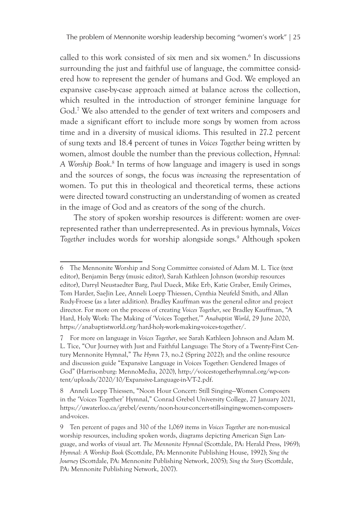called to this work consisted of six men and six women.<sup>6</sup> In discussions surrounding the just and faithful use of language, the committee considered how to represent the gender of humans and God. We employed an expansive case-by-case approach aimed at balance across the collection, which resulted in the introduction of stronger feminine language for God.7 We also attended to the gender of text writers and composers and made a significant effort to include more songs by women from across time and in a diversity of musical idioms. This resulted in 27.2 percent of sung texts and 18.4 percent of tunes in *Voices Together* being written by women, almost double the number than the previous collection, *Hymnal: A Worship Book*. 8 In terms of how language and imagery is used in songs and the sources of songs, the focus was *increasing* the representation of women. To put this in theological and theoretical terms, these actions were directed toward constructing an understanding of women as created in the image of God and as creators of the song of the church.

The story of spoken worship resources is different: women are overrepresented rather than underrepresented. As in previous hymnals, *Voices*  Together includes words for worship alongside songs.<sup>9</sup> Although spoken

<sup>6</sup> The Mennonite Worship and Song Committee consisted of Adam M. L. Tice (text editor), Benjamin Bergy (music editor), Sarah Kathleen Johnson (worship resources editor), Darryl Neustaedter Barg, Paul Dueck, Mike Erb, Katie Graber, Emily Grimes, Tom Harder, SaeJin Lee, Anneli Loepp Thiessen, Cynthia Neufeld Smith, and Allan Rudy-Froese (as a later addition). Bradley Kauffman was the general editor and project director. For more on the process of creating *Voices Together*, see Bradley Kauffman, "A Hard, Holy Work: The Making of 'Voices Together,'" *Anabaptist World*, 29 June 2020, https://anabaptistworld.org/hard-holy-work-making-voices-together/.

<sup>7</sup> For more on language in *Voices Together*, see Sarah Kathleen Johnson and Adam M. L. Tice, "Our Journey with Just and Faithful Language: The Story of a Twenty-First Century Mennonite Hymnal," *The Hymn* 73, no.2 (Spring 2022); and the online resource and discussion guide "Expansive Language in Voices Together: Gendered Images of God" (Harrisonburg: MennoMedia, 2020), http://voicestogetherhymnal.org/wp-content/uploads/2020/10/Expansive-Language-in-VT-2.pdf.

<sup>8</sup> Anneli Loepp Thiessen, "Noon Hour Concert: Still Singing—Women Composers in the 'Voices Together' Hymnal," Conrad Grebel University College, 27 January 2021, https://uwaterloo.ca/grebel/events/noon-hour-concert-still-singing-women-composersand-voices.

<sup>9</sup> Ten percent of pages and 310 of the 1,069 items in *Voices Together* are non-musical worship resources, including spoken words, diagrams depicting American Sign Language, and works of visual art. *The Mennonite Hymnal* (Scottdale, PA: Herald Press, 1969); *Hymnal: A Worship Book* (Scottdale, PA: Mennonite Publishing House, 1992); *Sing the Journey* (Scottdale, PA: Mennonite Publishing Network, 2005); *Sing the Story* (Scottdale, PA: Mennonite Publishing Network, 2007).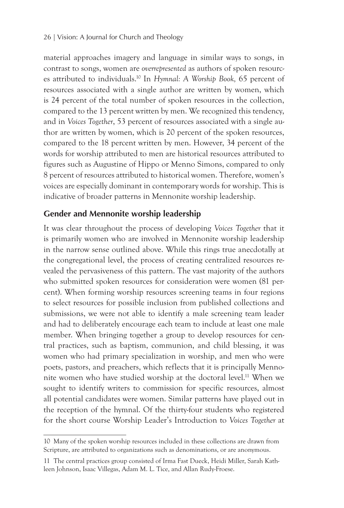material approaches imagery and language in similar ways to songs, in contrast to songs, women are *overrepresented* as authors of spoken resources attributed to individuals.10 In *Hymnal: A Worship Book,* 65 percent of resources associated with a single author are written by women, which is 24 percent of the total number of spoken resources in the collection, compared to the 13 percent written by men. We recognized this tendency, and in *Voices Together*, 53 percent of resources associated with a single author are written by women, which is 20 percent of the spoken resources, compared to the 18 percent written by men. However, 34 percent of the words for worship attributed to men are historical resources attributed to figures such as Augustine of Hippo or Menno Simons, compared to only 8 percent of resources attributed to historical women. Therefore, women's voices are especially dominant in contemporary words for worship. This is indicative of broader patterns in Mennonite worship leadership.

## **Gender and Mennonite worship leadership**

It was clear throughout the process of developing *Voices Together* that it is primarily women who are involved in Mennonite worship leadership in the narrow sense outlined above. While this rings true anecdotally at the congregational level, the process of creating centralized resources revealed the pervasiveness of this pattern. The vast majority of the authors who submitted spoken resources for consideration were women (81 percent). When forming worship resources screening teams in four regions to select resources for possible inclusion from published collections and submissions, we were not able to identify a male screening team leader and had to deliberately encourage each team to include at least one male member. When bringing together a group to develop resources for central practices, such as baptism, communion, and child blessing, it was women who had primary specialization in worship, and men who were poets, pastors, and preachers, which reflects that it is principally Mennonite women who have studied worship at the doctoral level.11 When we sought to identify writers to commission for specific resources, almost all potential candidates were women. Similar patterns have played out in the reception of the hymnal. Of the thirty-four students who registered for the short course Worship Leader's Introduction to *Voices Together* at

<sup>10</sup> Many of the spoken worship resources included in these collections are drawn from Scripture, are attributed to organizations such as denominations, or are anonymous.

<sup>11</sup> The central practices group consisted of Irma Fast Dueck, Heidi Miller, Sarah Kathleen Johnson, Isaac Villegas, Adam M. L. Tice, and Allan Rudy-Froese.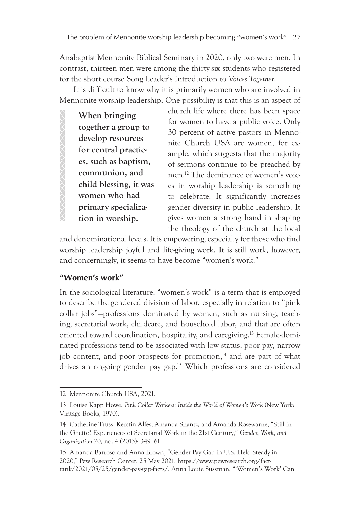Anabaptist Mennonite Biblical Seminary in 2020, only two were men. In contrast, thirteen men were among the thirty-six students who registered for the short course Song Leader's Introduction to *Voices Together*.

It is difficult to know why it is primarily women who are involved in Mennonite worship leadership. One possibility is that this is an aspect of

**When bringing together a group to develop resources for central practices, such as baptism, communion, and child blessing, it was women who had primary specialization in worship.**

church life where there has been space for women to have a public voice. Only 30 percent of active pastors in Mennonite Church USA are women, for example, which suggests that the majority of sermons continue to be preached by men.12 The dominance of women's voices in worship leadership is something to celebrate. It significantly increases gender diversity in public leadership. It gives women a strong hand in shaping the theology of the church at the local

and denominational levels. It is empowering, especially for those who find worship leadership joyful and life-giving work. It is still work, however, and concerningly, it seems to have become "women's work."

#### **"Women's work"**

**AMMANAMANAMAN** 

In the sociological literature, "women's work" is a term that is employed to describe the gendered division of labor, especially in relation to "pink collar jobs"—professions dominated by women, such as nursing, teaching, secretarial work, childcare, and household labor, and that are often oriented toward coordination, hospitality, and caregiving.13 Female-dominated professions tend to be associated with low status, poor pay, narrow job content, and poor prospects for promotion,<sup>14</sup> and are part of what drives an ongoing gender pay gap.<sup>15</sup> Which professions are considered

<sup>12</sup> Mennonite Church USA, 2021.

<sup>13</sup> Louise Kapp Howe, *Pink Collar Workers: Inside the World of Women's Work* (New York: Vintage Books, 1970).

<sup>14</sup> Catherine Truss, Kerstin Alfes, Amanda Shantz, and Amanda Rosewarne, "Still in the Ghetto? Experiences of Secretarial Work in the 21st Century," *Gender, Work, and Organization* 20, no. 4 (2013): 349–61.

<sup>15</sup> Amanda Barroso and Anna Brown, "Gender Pay Gap in U.S. Held Steady in 2020," Pew Research Center, 25 May 2021, https://www.pewresearch.org/facttank/2021/05/25/gender-pay-gap-facts/; Anna Louie Sussman, "'Women's Work' Can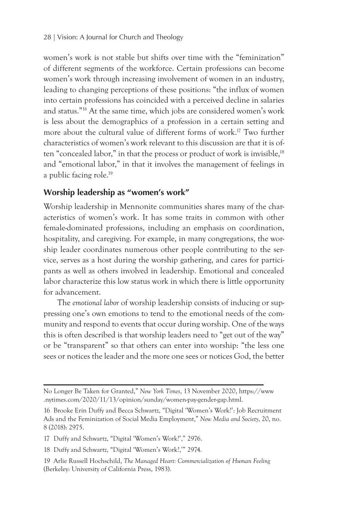women's work is not stable but shifts over time with the "feminization" of different segments of the workforce. Certain professions can become women's work through increasing involvement of women in an industry, leading to changing perceptions of these positions: "the influx of women into certain professions has coincided with a perceived decline in salaries and status."16 At the same time, which jobs are considered women's work is less about the demographics of a profession in a certain setting and more about the cultural value of different forms of work.17 Two further characteristics of women's work relevant to this discussion are that it is often "concealed labor," in that the process or product of work is invisible,<sup>18</sup> and "emotional labor," in that it involves the management of feelings in a public facing role.<sup>19</sup>

## **Worship leadership as "women's work"**

Worship leadership in Mennonite communities shares many of the characteristics of women's work. It has some traits in common with other female-dominated professions, including an emphasis on coordination, hospitality, and caregiving. For example, in many congregations, the worship leader coordinates numerous other people contributing to the service, serves as a host during the worship gathering, and cares for participants as well as others involved in leadership. Emotional and concealed labor characterize this low status work in which there is little opportunity for advancement.

The *emotional labor* of worship leadership consists of inducing or suppressing one's own emotions to tend to the emotional needs of the community and respond to events that occur during worship. One of the ways this is often described is that worship leaders need to "get out of the way" or be "transparent" so that others can enter into worship: "the less one sees or notices the leader and the more one sees or notices God, the better

No Longer Be Taken for Granted," *New York Times*, 13 November 2020, https://www .nytimes.com/2020/11/13/opinion/sunday/women-pay-gender-gap.html.

<sup>16</sup> Brooke Erin Duffy and Becca Schwartz, "Digital 'Women's Work?': Job Recruitment Ads and the Feminization of Social Media Employment," *New Media and Society*, 20, no. 8 (2018): 2975.

<sup>17</sup> Duffy and Schwartz, "Digital 'Women's Work?'," 2976.

<sup>18</sup> Duffy and Schwartz, "Digital 'Women's Work?,'" 2974.

<sup>19</sup> Arlie Russell Hochschild, *The Managed Heart: Commercialization of Human Feeling* (Berkeley: University of California Press, 1983).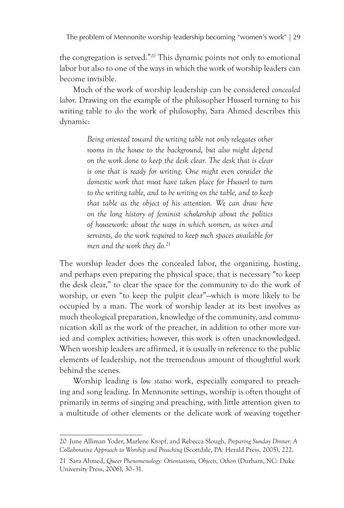the congregation is served."20 This dynamic points not only to emotional labor but also to one of the ways in which the work of worship leaders can become invisible.

Much of the work of worship leadership can be considered *concealed labor*. Drawing on the example of the philosopher Husserl turning to his writing table to do the work of philosophy, Sara Ahmed describes this dynamic:

> *Being oriented toward the writing table not only relegates other rooms in the house to the background, but also might depend on the work done to keep the desk clear. The desk that is clear is one that is ready for writing. One might even consider the domestic work that must have taken place for Husserl to turn to the writing table, and to be writing on the table, and to keep that table as the object of his attention. We can draw here on the long history of feminist scholarship about the politics of housework: about the ways in which women, as wives and servants, do the work required to keep such spaces available for men and the work they do.*<sup>21</sup>

The worship leader does the concealed labor, the organizing, hosting, and perhaps even preparing the physical space, that is necessary "to keep the desk clear," to clear the space for the community to do the work of worship, or even "to keep the pulpit clear"—which is more likely to be occupied by a man. The work of worship leader at its best involves as much theological preparation, knowledge of the community, and communication skill as the work of the preacher, in addition to other more varied and complex activities; however, this work is often unacknowledged. When worship leaders are affirmed, it is usually in reference to the public elements of leadership, not the tremendous amount of thoughtful work behind the scenes.

Worship leading is *low status* work, especially compared to preaching and song leading. In Mennonite settings, worship is often thought of primarily in terms of singing and preaching, with little attention given to a multitude of other elements or the delicate work of weaving together

<sup>20</sup> June Alliman Yoder, Marlene Kropf, and Rebecca Slough, *Preparing Sunday Dinner: A Collaborative Approach to Worship and Preaching* (Scottdale, PA: Herald Press, 2005), 222.

<sup>21</sup> Sara Ahmed, *Queer Phenomenology: Orientations, Objects, Others* (Durham, NC: Duke University Press, 2006), 30–31.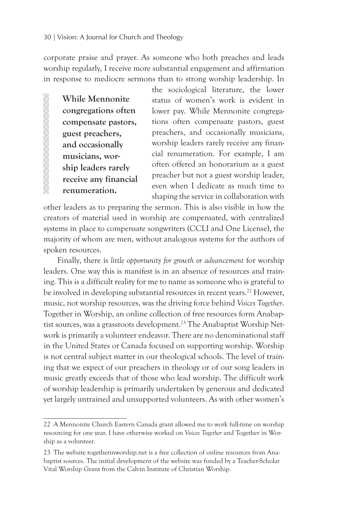corporate praise and prayer. As someone who both preaches and leads worship regularly, I receive more substantial engagement and affirmation in response to mediocre sermons than to strong worship leadership. In

**While Mennonite congregations often compensate pastors, guest preachers, and occasionally musicians, worship leaders rarely receive any financial renumeration.** 

the sociological literature, the lower status of women's work is evident in lower pay. While Mennonite congregations often compensate pastors, guest preachers, and occasionally musicians, worship leaders rarely receive any financial renumeration. For example, I am often offered an honorarium as a guest preacher but not a guest worship leader, even when I dedicate as much time to shaping the service in collaboration with

other leaders as to preparing the sermon. This is also visible in how the creators of material used in worship are compensated, with centralized systems in place to compensate songwriters (CCLI and One License), the majority of whom are men, without analogous systems for the authors of spoken resources.

Finally, there is *little opportunity for growth or advancement* for worship leaders. One way this is manifest is in an absence of resources and training. This is a difficult reality for me to name as someone who is grateful to be involved in developing substantial resources in recent years.<sup>22</sup> However, music, not worship resources, was the driving force behind *Voices Together*. Together in Worship, an online collection of free resources form Anabaptist sources, was a grassroots development.<sup>23</sup> The Anabaptist Worship Network is primarily a volunteer endeavor. There are no denominational staff in the United States or Canada focused on supporting worship. Worship is not central subject matter in our theological schools. The level of training that we expect of our preachers in theology or of our song leaders in music greatly exceeds that of those who lead worship. The difficult work of worship leadership is primarily undertaken by generous and dedicated yet largely untrained and unsupported volunteers. As with other women's

<sup>22</sup> A Mennonite Church Eastern Canada grant allowed me to work full-time on worship resourcing for one year. I have otherwise worked on *Voices Together* and Together in Worship as a volunteer.

<sup>23</sup> The website togetherinworship.net is a free collection of online resources from Anabaptist sources. The initial development of the website was funded by a Teacher-Scholar Vital Worship Grant from the Calvin Institute of Christian Worship.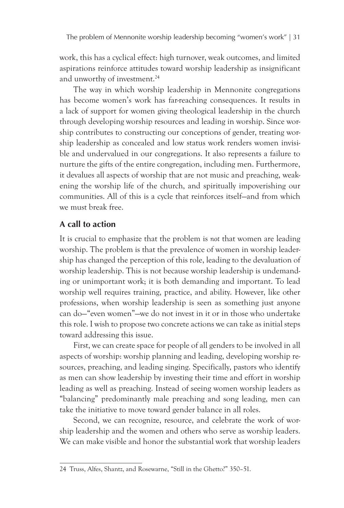work, this has a cyclical effect: high turnover, weak outcomes, and limited aspirations reinforce attitudes toward worship leadership as insignificant and unworthy of investment.<sup>24</sup>

The way in which worship leadership in Mennonite congregations has become women's work has far-reaching consequences. It results in a lack of support for women giving theological leadership in the church through developing worship resources and leading in worship. Since worship contributes to constructing our conceptions of gender, treating worship leadership as concealed and low status work renders women invisible and undervalued in our congregations. It also represents a failure to nurture the gifts of the entire congregation, including men. Furthermore, it devalues all aspects of worship that are not music and preaching, weakening the worship life of the church, and spiritually impoverishing our communities. All of this is a cycle that reinforces itself—and from which we must break free.

#### **A call to action**

It is crucial to emphasize that the problem is *not* that women are leading worship. The problem is that the prevalence of women in worship leadership has changed the perception of this role, leading to the devaluation of worship leadership. This is not because worship leadership is undemanding or unimportant work; it is both demanding and important. To lead worship well requires training, practice, and ability. However, like other professions, when worship leadership is seen as something just anyone can do—"even women"—we do not invest in it or in those who undertake this role. I wish to propose two concrete actions we can take as initial steps toward addressing this issue.

First, we can create space for people of all genders to be involved in all aspects of worship: worship planning and leading, developing worship resources, preaching, and leading singing. Specifically, pastors who identify as men can show leadership by investing their time and effort in worship leading as well as preaching. Instead of seeing women worship leaders as "balancing" predominantly male preaching and song leading, men can take the initiative to move toward gender balance in all roles.

Second, we can recognize, resource, and celebrate the work of worship leadership and the women and others who serve as worship leaders. We can make visible and honor the substantial work that worship leaders

<sup>24</sup> Truss, Alfes, Shantz, and Rosewarne, "Still in the Ghetto?" 350–51.